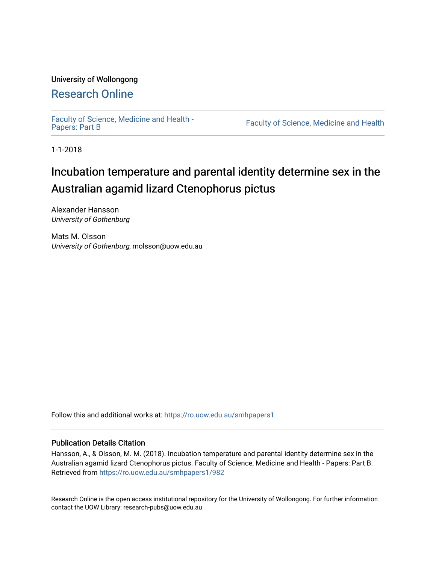# University of Wollongong

# [Research Online](https://ro.uow.edu.au/)

[Faculty of Science, Medicine and Health -](https://ro.uow.edu.au/smhpapers1) Papers: Part B

Faculty of Science, Medicine and Health

1-1-2018

# Incubation temperature and parental identity determine sex in the Australian agamid lizard Ctenophorus pictus

Alexander Hansson University of Gothenburg

Mats M. Olsson University of Gothenburg, molsson@uow.edu.au

Follow this and additional works at: [https://ro.uow.edu.au/smhpapers1](https://ro.uow.edu.au/smhpapers1?utm_source=ro.uow.edu.au%2Fsmhpapers1%2F982&utm_medium=PDF&utm_campaign=PDFCoverPages)

# Publication Details Citation

Hansson, A., & Olsson, M. M. (2018). Incubation temperature and parental identity determine sex in the Australian agamid lizard Ctenophorus pictus. Faculty of Science, Medicine and Health - Papers: Part B. Retrieved from [https://ro.uow.edu.au/smhpapers1/982](https://ro.uow.edu.au/smhpapers1/982?utm_source=ro.uow.edu.au%2Fsmhpapers1%2F982&utm_medium=PDF&utm_campaign=PDFCoverPages) 

Research Online is the open access institutional repository for the University of Wollongong. For further information contact the UOW Library: research-pubs@uow.edu.au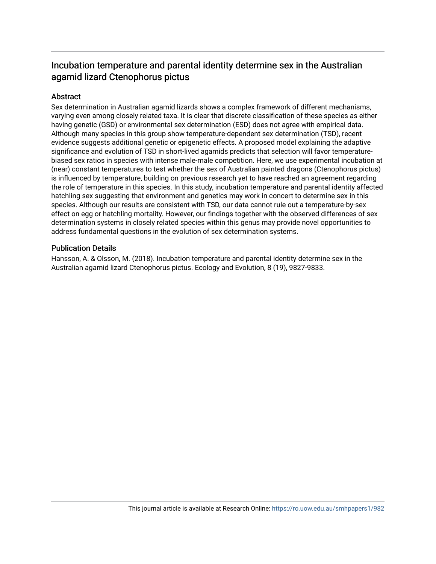# Incubation temperature and parental identity determine sex in the Australian agamid lizard Ctenophorus pictus

# **Abstract**

Sex determination in Australian agamid lizards shows a complex framework of different mechanisms, varying even among closely related taxa. It is clear that discrete classification of these species as either having genetic (GSD) or environmental sex determination (ESD) does not agree with empirical data. Although many species in this group show temperature-dependent sex determination (TSD), recent evidence suggests additional genetic or epigenetic effects. A proposed model explaining the adaptive significance and evolution of TSD in short-lived agamids predicts that selection will favor temperaturebiased sex ratios in species with intense male-male competition. Here, we use experimental incubation at (near) constant temperatures to test whether the sex of Australian painted dragons (Ctenophorus pictus) is influenced by temperature, building on previous research yet to have reached an agreement regarding the role of temperature in this species. In this study, incubation temperature and parental identity affected hatchling sex suggesting that environment and genetics may work in concert to determine sex in this species. Although our results are consistent with TSD, our data cannot rule out a temperature-by-sex effect on egg or hatchling mortality. However, our findings together with the observed differences of sex determination systems in closely related species within this genus may provide novel opportunities to address fundamental questions in the evolution of sex determination systems.

# Publication Details

Hansson, A. & Olsson, M. (2018). Incubation temperature and parental identity determine sex in the Australian agamid lizard Ctenophorus pictus. Ecology and Evolution, 8 (19), 9827-9833.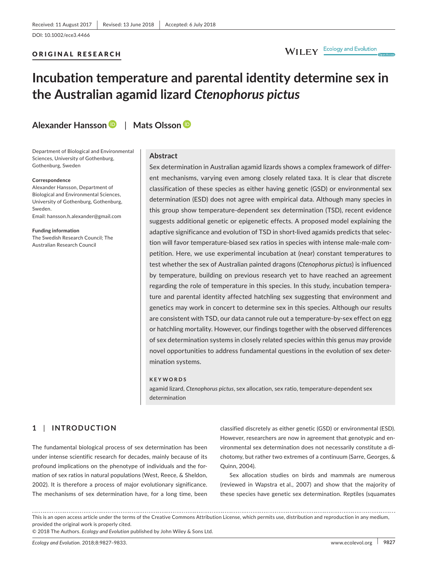### ORIGINAL RESEARCH

# WILEY Ecology and Evolution

# **Incubation temperature and parental identity determine sex in the Australian agamid lizard** *Ctenophorus pictus*

**Alexander Hansson** | **Mats Olsson**

Department of Biological and Environmental Sciences, University of Gothenburg, Gothenburg, Sweden

#### **Correspondence**

Alexander Hansson, Department of Biological and Environmental Sciences, University of Gothenburg, Gothenburg, Sweden. Email: [hansson.h.alexander@gmail.com](mailto:hansson.h.alexander@gmail.com)

**Funding information** The Swedish Research Council; The Australian Research Council

#### **Abstract**

Sex determination in Australian agamid lizards shows a complex framework of different mechanisms, varying even among closely related taxa. It is clear that discrete classification of these species as either having genetic (GSD) or environmental sex determination (ESD) does not agree with empirical data. Although many species in this group show temperature-dependent sex determination (TSD), recent evidence suggests additional genetic or epigenetic effects. A proposed model explaining the adaptive significance and evolution of TSD in short-lived agamids predicts that selection will favor temperature-biased sex ratios in species with intense male-male competition. Here, we use experimental incubation at (near) constant temperatures to test whether the sex of Australian painted dragons (*Ctenophorus pictus*) is influenced by temperature, building on previous research yet to have reached an agreement regarding the role of temperature in this species. In this study, incubation temperature and parental identity affected hatchling sex suggesting that environment and genetics may work in concert to determine sex in this species. Although our results are consistent with TSD, our data cannot rule out a temperature-by-sex effect on egg or hatchling mortality. However, our findings together with the observed differences of sex determination systems in closely related species within this genus may provide novel opportunities to address fundamental questions in the evolution of sex determination systems.

#### **KEYWORDS**

agamid lizard, *Ctenophorus pictus*, sex allocation, sex ratio, temperature-dependent sex determination

### **1** | **INTRODUCTION**

The fundamental biological process of sex determination has been under intense scientific research for decades, mainly because of its profound implications on the phenotype of individuals and the formation of sex ratios in natural populations (West, Reece, & Sheldon, 2002). It is therefore a process of major evolutionary significance. The mechanisms of sex determination have, for a long time, been

classified discretely as either genetic (GSD) or environmental (ESD). However, researchers are now in agreement that genotypic and environmental sex determination does not necessarily constitute a dichotomy, but rather two extremes of a continuum (Sarre, Georges, & Quinn, 2004).

Sex allocation studies on birds and mammals are numerous (reviewed in Wapstra et al., 2007) and show that the majority of these species have genetic sex determination. Reptiles (squamates

This is an open access article under the terms of the [Creative Commons Attribution](http://creativecommons.org/licenses/by/4.0/) License, which permits use, distribution and reproduction in any medium, provided the original work is properly cited.

<sup>© 2018</sup> The Authors. *Ecology and Evolution* published by John Wiley & Sons Ltd.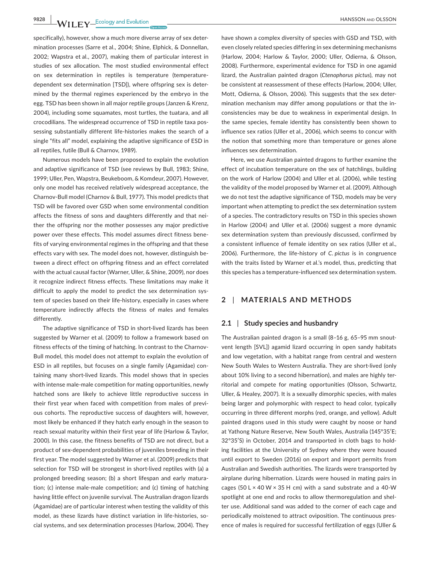**9828 WII FY** Ecology and Evolution **and Construction Report of ALSON AND OLSSON** 

specifically), however, show a much more diverse array of sex determination processes (Sarre et al., 2004; Shine, Elphick, & Donnellan, 2002; Wapstra et al., 2007), making them of particular interest in studies of sex allocation. The most studied environmental effect on sex determination in reptiles is temperature (temperaturedependent sex determination [TSD]), where offspring sex is determined by the thermal regimes experienced by the embryo in the egg. TSD has been shown in all major reptile groups (Janzen & Krenz, 2004), including some squamates, most turtles, the tuatara, and all crocodilians. The widespread occurrence of TSD in reptile taxa possessing substantially different life-histories makes the search of a single "fits all" model, explaining the adaptive significance of ESD in all reptiles, futile (Bull & Charnov, 1989).

Numerous models have been proposed to explain the evolution and adaptive significance of TSD (see reviews by Bull, 1983; Shine, 1999; Uller, Pen, Wapstra, Beukeboom, & Komdeur, 2007). However, only one model has received relatively widespread acceptance, the Charnov-Bull model (Charnov & Bull, 1977). This model predicts that TSD will be favored over GSD when some environmental condition affects the fitness of sons and daughters differently and that neither the offspring nor the mother possesses any major predictive power over these effects. This model assumes direct fitness benefits of varying environmental regimes in the offspring and that these effects vary with sex. The model does not, however, distinguish between a direct effect on offspring fitness and an effect correlated with the actual causal factor (Warner, Uller, & Shine, 2009), nor does it recognize indirect fitness effects. These limitations may make it difficult to apply the model to predict the sex determination system of species based on their life-history, especially in cases where temperature indirectly affects the fitness of males and females differently.

The adaptive significance of TSD in short-lived lizards has been suggested by Warner et al. (2009) to follow a framework based on fitness effects of the timing of hatching. In contrast to the Charnov-Bull model, this model does not attempt to explain the evolution of ESD in all reptiles, but focuses on a single family (Agamidae) containing many short-lived lizards. This model shows that in species with intense male-male competition for mating opportunities, newly hatched sons are likely to achieve little reproductive success in their first year when faced with competition from males of previous cohorts. The reproductive success of daughters will, however, most likely be enhanced if they hatch early enough in the season to reach sexual maturity within their first year of life (Harlow & Taylor, 2000). In this case, the fitness benefits of TSD are not direct, but a product of sex-dependent probabilities of juveniles breeding in their first year. The model suggested by Warner et al. (2009) predicts that selection for TSD will be strongest in short-lived reptiles with (a) a prolonged breeding season; (b) a short lifespan and early maturation; (c) intense male-male competition; and (c) timing of hatching having little effect on juvenile survival. The Australian dragon lizards (Agamidae) are of particular interest when testing the validity of this model, as these lizards have distinct variation in life-histories, social systems, and sex determination processes (Harlow, 2004). They

have shown a complex diversity of species with GSD and TSD, with even closely related species differing in sex determining mechanisms (Harlow, 2004; Harlow & Taylor, 2000; Uller, Odierna, & Olsson, 2008). Furthermore, experimental evidence for TSD in one agamid lizard, the Australian painted dragon (*Ctenophorus pictus*), may not be consistent at reassessment of these effects (Harlow, 2004; Uller, Mott, Odierna, & Olsson, 2006). This suggests that the sex determination mechanism may differ among populations or that the inconsistencies may be due to weakness in experimental design. In the same species, female identity has consistently been shown to influence sex ratios (Uller et al., 2006), which seems to concur with the notion that something more than temperature or genes alone influences sex determination.

Here, we use Australian painted dragons to further examine the effect of incubation temperature on the sex of hatchlings, building on the work of Harlow (2004) and Uller et al. (2006), while testing the validity of the model proposed by Warner et al. (2009). Although we do not test the adaptive significance of TSD, models may be very important when attempting to predict the sex determination system of a species. The contradictory results on TSD in this species shown in Harlow (2004) and Uller et al. (2006) suggest a more dynamic sex determination system than previously discussed, confirmed by a consistent influence of female identity on sex ratios (Uller et al., 2006). Furthermore, the life-history of *C. pictus* is in congruence with the traits listed by Warner et al.'s model, thus, predicting that this species has a temperature-influenced sex determination system.

#### **2** | **MATERIALS AND METHODS**

#### **2.1** | **Study species and husbandry**

The Australian painted dragon is a small (8–16 g, 65–95 mm snoutvent length [SVL]) agamid lizard occurring in open sandy habitats and low vegetation, with a habitat range from central and western New South Wales to Western Australia. They are short-lived (only about 10% living to a second hibernation), and males are highly territorial and compete for mating opportunities (Olsson, Schwartz, Uller, & Healey, 2007). It is a sexually dimorphic species, with males being larger and polymorphic with respect to head color, typically occurring in three different morphs (red, orange, and yellow). Adult painted dragons used in this study were caught by noose or hand at Yathong Nature Reserve, New South Wales, Australia (145°35′E; 32°35′S) in October, 2014 and transported in cloth bags to holding facilities at the University of Sydney where they were housed until export to Sweden (2016) on export and import permits from Australian and Swedish authorities. The lizards were transported by airplane during hibernation. Lizards were housed in mating pairs in cages (50 L  $\times$  40 W  $\times$  35 H cm) with a sand substrate and a 40-W spotlight at one end and rocks to allow thermoregulation and shelter use. Additional sand was added to the corner of each cage and periodically moistened to attract oviposition. The continuous presence of males is required for successful fertilization of eggs (Uller &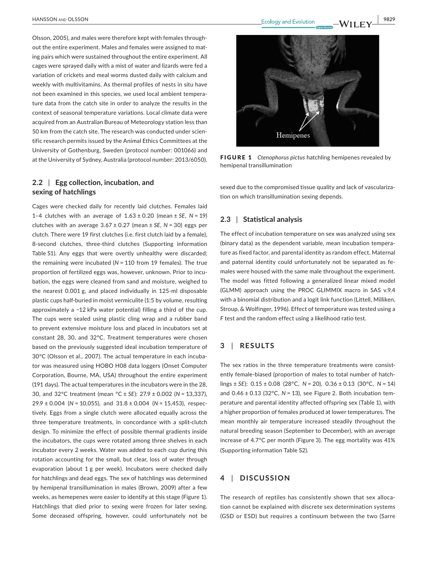Olsson, 2005), and males were therefore kept with females throughout the entire experiment. Males and females were assigned to mating pairs which were sustained throughout the entire experiment. All cages were sprayed daily with a mist of water and lizards were fed a variation of crickets and meal worms dusted daily with calcium and weekly with multivitamins. As thermal profiles of nests in situ have not been examined in this species, we used local ambient temperature data from the catch site in order to analyze the results in the context of seasonal temperature variations. Local climate data were acquired from an Australian Bureau of Meteorology station less than 50 km from the catch site. The research was conducted under scientific research permits issued by the Animal Ethics Committees at the University of Gothenburg, Sweden (protocol number: 001066) and at the University of Sydney, Australia (protocol number: 2013/6050).

### **2.2** | **Egg collection, incubation, and sexing of hatchlings**

Cages were checked daily for recently laid clutches. Females laid 1–4 clutches with an average of 1.63 ± 0.20 (mean ± *SE*, *N* = 19) clutches with an average  $3.67 \pm 0.27$  (mean  $\pm$  SE, N = 30) eggs per clutch. There were 19 first clutches (i.e. first clutch laid by a female), 8-second clutches, three-third clutches (Supporting information Table S1). Any eggs that were overtly unhealthy were discarded; the remaining were incubated (*N* = 110 from 19 females). The true proportion of fertilized eggs was, however, unknown. Prior to incubation, the eggs were cleaned from sand and moisture, weighed to the nearest 0.001 g, and placed individually in 125-ml disposable plastic cups half-buried in moist vermiculite (1:5 by volume, resulting approximately a −12 kPa water potential) filling a third of the cup. The cups were sealed using plastic cling wrap and a rubber band to prevent extensive moisture loss and placed in incubators set at constant 28, 30, and 32°C. Treatment temperatures were chosen based on the previously suggested ideal incubation temperature of 30°C (Olsson et al., 2007). The actual temperature in each incubator was measured using HOBO H08 data loggers (Onset Computer Corporation, Bourne, MA, USA) throughout the entire experiment (191 days). The actual temperatures in the incubators were in the 28, 30, and 32°C treatment (mean °C ± *SE*): 27.9 ± 0.002 (*N* = 13,337), 29.9 ± 0.004 (*N* = 10,055), and 31.8 ± 0.004 (*N* = 15,453), respectively. Eggs from a single clutch were allocated equally across the three temperature treatments, in concordance with a split-clutch design. To minimize the effect of possible thermal gradients inside the incubators, the cups were rotated among three shelves in each incubator every 2 weeks. Water was added to each cup during this rotation accounting for the small, but clear, loss of water through evaporation (about 1 g per week). Incubators were checked daily for hatchlings and dead eggs. The sex of hatchlings was determined by hemipenal transillumination in males (Brown, 2009) after a few weeks, as hemepenes were easier to identify at this stage (Figure 1). Hatchlings that died prior to sexing were frozen for later sexing. Some deceased offspring, however, could unfortunately not be



FIGURE 1 *Ctenophorus pictus* hatchling hemipenes revealed by hemipenal transillumination

sexed due to the compromised tissue quality and lack of vascularization on which transillumination sexing depends.

#### **2.3** | **Statistical analysis**

The effect of incubation temperature on sex was analyzed using sex (binary data) as the dependent variable, mean incubation temperature as fixed factor, and parental identity as random effect. Maternal and paternal identity could unfortunately not be separated as females were housed with the same male throughout the experiment. The model was fitted following a generalized linear mixed model (GLMM) approach using the PROC GLIMMIX macro in SAS v.9.4 with a binomial distribution and a logit link function (Littell, Milliken, Stroup, & Wolfinger, 1996). Effect of temperature was tested using a *F* test and the random effect using a likelihood ratio test.

### **3** | **RESULTS**

The sex ratios in the three temperature treatments were consistently female-biased (proportion of males to total number of hatchlings ± *SE*): 0.15 ± 0.08 (28°C, *N* = 20), 0.36 ± 0.13 (30°C, *N* = 14) and 0.46 ± 0.13 (32°C, *N* = 13), see Figure 2. Both incubation temperature and parental identity affected offspring sex (Table 1), with a higher proportion of females produced at lower temperatures. The mean monthly air temperature increased steadily throughout the natural breeding season (September to December), with an average increase of 4.7°C per month (Figure 3). The egg mortality was 41% (Supporting information Table S2).

### **4** | **DISCUSSION**

The research of reptiles has consistently shown that sex allocation cannot be explained with discrete sex determination systems (GSD or ESD) but requires a continuum between the two (Sarre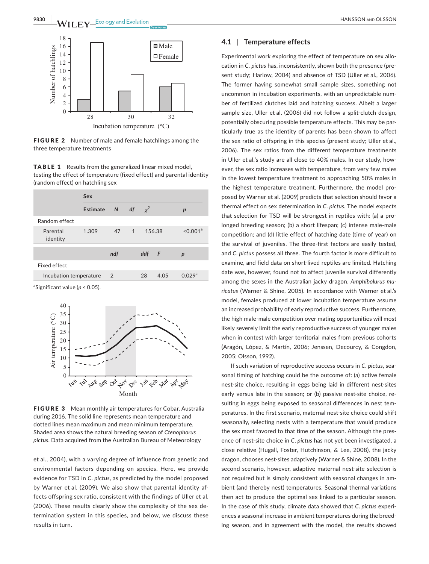

FIGURE 2 Number of male and female hatchlings among the three temperature treatments

TABLE 1 Results from the generalized linear mixed model, testing the effect of temperature (fixed effect) and parental identity (random effect) on hatchling sex

|                        | Sex        |      |    |          |      |                      |
|------------------------|------------|------|----|----------|------|----------------------|
|                        | Estimate N |      | df | $\chi^2$ |      | p                    |
| Random effect          |            |      |    |          |      |                      |
| Parental<br>identity   | 1.309      | 47 1 |    | 156.38   |      | < 0.001 <sup>a</sup> |
|                        |            | ndf  |    | ddf F    |      | p                    |
| Fixed effect           |            |      |    |          |      |                      |
| Incubation temperature |            | 2    |    | 28       | 4.05 | 0.029 <sup>a</sup>   |
|                        |            |      |    |          |      |                      |

a Significant value (*p* < 0.05).



FIGURE 3 Mean monthly air temperatures for Cobar, Australia during 2016. The solid line represents mean temperature and dotted lines mean maximum and mean minimum temperature. Shaded area shows the natural breeding season of *Ctenophorus pictus*. Data acquired from the Australian Bureau of Meteorology

et al., 2004), with a varying degree of influence from genetic and environmental factors depending on species. Here, we provide evidence for TSD in *C. pictus*, as predicted by the model proposed by Warner et al. (2009). We also show that parental identity affects offspring sex ratio, consistent with the findings of Uller et al. (2006). These results clearly show the complexity of the sex determination system in this species, and below, we discuss these results in turn.

#### **4.1** | **Temperature effects**

Experimental work exploring the effect of temperature on sex allocation in *C. pictus* has, inconsistently, shown both the presence (present study; Harlow, 2004) and absence of TSD (Uller et al., 2006). The former having somewhat small sample sizes, something not uncommon in incubation experiments, with an unpredictable number of fertilized clutches laid and hatching success. Albeit a larger sample size, Uller et al. (2006) did not follow a split-clutch design, potentially obscuring possible temperature effects. This may be particularly true as the identity of parents has been shown to affect the sex ratio of offspring in this species (present study; Uller et al., 2006). The sex ratios from the different temperature treatments in Uller et al.'s study are all close to 40% males. In our study, however, the sex ratio increases with temperature, from very few males in the lowest temperature treatment to approaching 50% males in the highest temperature treatment. Furthermore, the model proposed by Warner et al. (2009) predicts that selection should favor a thermal effect on sex determination in *C. pictus*. The model expects that selection for TSD will be strongest in reptiles with: (a) a prolonged breeding season; (b) a short lifespan; (c) intense male-male competition; and (d) little effect of hatching date (time of year) on the survival of juveniles. The three-first factors are easily tested, and *C. pictus* possess all three. The fourth factor is more difficult to examine, and field data on short-lived reptiles are limited. Hatching date was, however, found not to affect juvenile survival differently among the sexes in the Australian jacky dragon, *Amphibolurus muricatus* (Warner & Shine, 2005). In accordance with Warner et al.'s model, females produced at lower incubation temperature assume an increased probability of early reproductive success. Furthermore, the high male-male competition over mating opportunities will most likely severely limit the early reproductive success of younger males when in contest with larger territorial males from previous cohorts (Aragón, López, & Martín, 2006; Jenssen, Decourcy, & Congdon, 2005; Olsson, 1992).

If such variation of reproductive success occurs in *C. pictus*, seasonal timing of hatching could be the outcome of: (a) active female nest-site choice, resulting in eggs being laid in different nest-sites early versus late in the season; or (b) passive nest-site choice, resulting in eggs being exposed to seasonal differences in nest temperatures. In the first scenario, maternal nest-site choice could shift seasonally, selecting nests with a temperature that would produce the sex most favored to that time of the season. Although the presence of nest-site choice in *C. pictus* has not yet been investigated, a close relative (Hugall, Foster, Hutchinson, & Lee, 2008), the jacky dragon, chooses nest-sites adaptively (Warner & Shine, 2008). In the second scenario, however, adaptive maternal nest-site selection is not required but is simply consistent with seasonal changes in ambient (and thereby nest) temperatures. Seasonal thermal variations then act to produce the optimal sex linked to a particular season. In the case of this study, climate data showed that *C. pictus* experiences a seasonal increase in ambient temperatures during the breeding season, and in agreement with the model, the results showed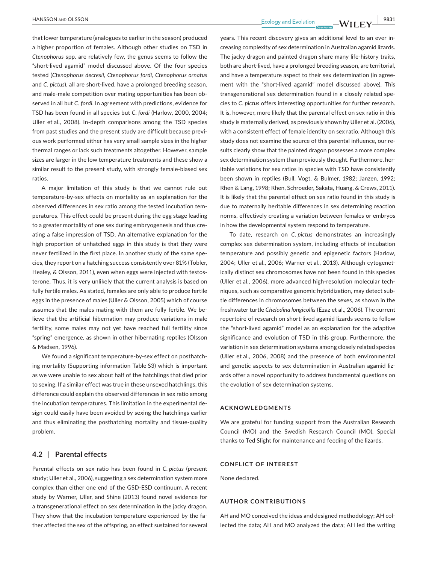**|** HANSSON and OLSSON **9831**

that lower temperature (analogues to earlier in the season) produced a higher proportion of females. Although other studies on TSD in *Ctenophorus* spp. are relatively few, the genus seems to follow the "short-lived agamid" model discussed above. Of the four species tested (*Ctenophorus decresii*, *Ctenophorus fordi*, *Ctenophorus ornatus* and *C. pictus*), all are short-lived, have a prolonged breeding season, and male-male competition over mating opportunities has been observed in all but *C. fordi*. In agreement with predictions, evidence for TSD has been found in all species but *C. fordi* (Harlow, 2000, 2004; Uller et al., 2008). In-depth comparisons among the TSD species from past studies and the present study are difficult because previous work performed either has very small sample sizes in the higher thermal ranges or lack such treatments altogether. However, sample sizes are larger in the low temperature treatments and these show a similar result to the present study, with strongly female-biased sex ratios.

A major limitation of this study is that we cannot rule out temperature-by-sex effects on mortality as an explanation for the observed differences in sex ratio among the tested incubation temperatures. This effect could be present during the egg stage leading to a greater mortality of one sex during embryogenesis and thus creating a false impression of TSD. An alternative explanation for the high proportion of unhatched eggs in this study is that they were never fertilized in the first place. In another study of the same species, they report on a hatching success consistently over 81% (Tobler, Healey, & Olsson, 2011), even when eggs were injected with testosterone. Thus, it is very unlikely that the current analysis is based on fully fertile males. As stated, females are only able to produce fertile eggs in the presence of males (Uller & Olsson, 2005) which of course assumes that the males mating with them are fully fertile. We believe that the artificial hibernation may produce variations in male fertility, some males may not yet have reached full fertility since "spring" emergence, as shown in other hibernating reptiles (Olsson & Madsen, 1996).

We found a significant temperature-by-sex effect on posthatching mortality (Supporting information Table S3) which is important as we were unable to sex about half of the hatchlings that died prior to sexing. If a similar effect was true in these unsexed hatchlings, this difference could explain the observed differences in sex ratio among the incubation temperatures. This limitation in the experimental design could easily have been avoided by sexing the hatchlings earlier and thus eliminating the posthatching mortality and tissue-quality problem.

#### **4.2** | **Parental effects**

Parental effects on sex ratio has been found in *C. pictus* (present study; Uller et al., 2006), suggesting a sex determination system more complex than either one end of the GSD-ESD continuum. A recent study by Warner, Uller, and Shine (2013) found novel evidence for a transgenerational effect on sex determination in the jacky dragon. They show that the incubation temperature experienced by the father affected the sex of the offspring, an effect sustained for several

years. This recent discovery gives an additional level to an ever increasing complexity of sex determination in Australian agamid lizards. The jacky dragon and painted dragon share many life-history traits, both are short-lived, have a prolonged breeding season, are territorial, and have a temperature aspect to their sex determination (in agreement with the "short-lived agamid" model discussed above). This transgenerational sex determination found in a closely related species to *C. pictus* offers interesting opportunities for further research. It is, however, more likely that the parental effect on sex ratio in this study is maternally derived, as previously shown by Uller et al. (2006), with a consistent effect of female identity on sex ratio. Although this study does not examine the source of this parental influence, our results clearly show that the painted dragon possesses a more complex sex determination system than previously thought. Furthermore, heritable variations for sex ratios in species with TSD have consistently been shown in reptiles (Bull, Vogt, & Bulmer, 1982; Janzen, 1992; Rhen & Lang, 1998; Rhen, Schroeder, Sakata, Huang, & Crews, 2011). It is likely that the parental effect on sex ratio found in this study is due to maternally heritable differences in sex determining reaction norms, effectively creating a variation between females or embryos in how the developmental system respond to temperature.

To date, research on *C. pictus* demonstrates an increasingly complex sex determination system, including effects of incubation temperature and possibly genetic and epigenetic factors (Harlow, 2004; Uller et al., 2006; Warner et al., 2013). Although cytogenetically distinct sex chromosomes have not been found in this species (Uller et al., 2006), more advanced high-resolution molecular techniques, such as comparative genomic hybridization, may detect subtle differences in chromosomes between the sexes, as shown in the freshwater turtle *Chelodina longicollis* (Ezaz et al., 2006). The current repertoire of research on short-lived agamid lizards seems to follow the "short-lived agamid" model as an explanation for the adaptive significance and evolution of TSD in this group. Furthermore, the variation in sex determination systems among closely related species (Uller et al., 2006, 2008) and the presence of both environmental and genetic aspects to sex determination in Australian agamid lizards offer a novel opportunity to address fundamental questions on the evolution of sex determination systems.

#### **ACKNOWLEDGMENTS**

We are grateful for funding support from the Australian Research Council (MO) and the Swedish Research Council (MO). Special thanks to Ted Slight for maintenance and feeding of the lizards.

#### **CONFLICT OF INTEREST**

None declared.

#### **AUTHOR CONTRIBUTIONS**

AH and MO conceived the ideas and designed methodology; AH collected the data; AH and MO analyzed the data; AH led the writing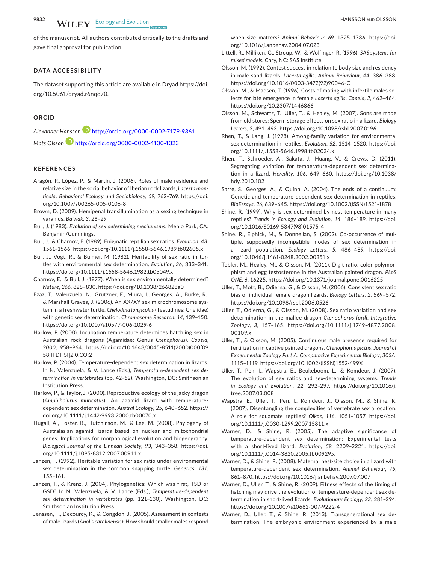**9832 WII FY** Ecology and Evolution **and Construction Books Books BANSSON AND OLSSON** 

of the manuscript. All authors contributed critically to the drafts and gave final approval for publication.

#### **DATA ACCESSIBILITY**

The dataset supporting this article are available in Dryad [https://doi.](https://doi.org/10.5061/dryad.r6nq870) [org/10.5061/dryad.r6nq870](https://doi.org/10.5061/dryad.r6nq870).

#### **ORCID**

*Alexander Hansson* <http://orcid.org/0000-0002-7179-9361> *Mats Olsson* <http://orcid.org/0000-0002-4130-1323>

#### **REFERENCES**

- Aragón, P., López, P., & Martín, J. (2006). Roles of male residence and relative size in the social behavior of Iberian rock lizards, *Lacerta monticola*. *Behavioral Ecology and Sociobiology*, *59*, 762–769. [https://doi.](https://doi.org/10.1007/s00265-005-0106-8) [org/10.1007/s00265-005-0106-8](https://doi.org/10.1007/s00265-005-0106-8)
- Brown, D. (2009). Hemipenal transillumination as a sexing technique in varanids. *Baiwak*, *3*, 26–29.
- Bull, J. (1983). *Evolution of sex determining mechanisms*. Menlo Park, CA: Benjamin/Cummings.
- Bull, J., & Charnov, E. (1989). Enigmatic reptilian sex ratios. *Evolution*, *43*, 1561–1566. <https://doi.org/10.1111/j.1558-5646.1989.tb02605.x>
- Bull, J., Vogt, R., & Bulmer, M. (1982). Heritability of sex ratio in turtles with environmental sex determination. *Evolution*, *36*, 333–341. <https://doi.org/10.1111/j.1558-5646.1982.tb05049.x>
- Charnov, E., & Bull, J. (1977). When is sex environmentally determined? *Nature*, *266*, 828–830. <https://doi.org/10.1038/266828a0>
- Ezaz, T., Valenzuela, N., Grützner, F., Miura, I., Georges, A., Burke, R., & Marshall Graves, J. (2006). An XX/XY sex microchromosome system in a freshwater turtle, *Chelodina longicollis* (Testudines: Chelidae) with genetic sex determination. *Chromosome Research*, *14*, 139–150. <https://doi.org/10.1007/s10577-006-1029-6>
- Harlow, P. (2000). Incubation temperature determines hatchling sex in Australian rock dragons (Agamidae: Genus *Ctenophorus*). *Copeia*, *2000*, 958–964. [https://doi.org/10.1643/0045-8511\(2000\)000\[09](https://doi.org/10.1643/0045-8511(2000)000[0958:ITDHSI]2.0.CO;2) [58:ITDHSI\]2.0.CO;2](https://doi.org/10.1643/0045-8511(2000)000[0958:ITDHSI]2.0.CO;2)
- Harlow, P. (2004). Temperature-dependent sex determination in lizards. In N. Valenzuela, & V. Lance (Eds.), *Temperature-dependent sex determination in vertebrates* (pp. 42–52). Washington, DC: Smithsonian Institution Press.
- Harlow, P., & Taylor, J. (2000). Reproductive ecology of the jacky dragon (*Amphibolurus muricatus*): An agamid lizard with temperaturedependent sex determination. *Austral Ecology*, *25*, 640–652. [https://](https://doi.org/10.1111/j.1442-9993.2000.tb00070.x) [doi.org/10.1111/j.1442-9993.2000.tb00070.x](https://doi.org/10.1111/j.1442-9993.2000.tb00070.x)
- Hugall, A., Foster, R., Hutchinson, M., & Lee, M. (2008). Phylogeny of Australasian agamid lizards based on nuclear and mitochondrial genes: Implications for morphological evolution and biogeography. *Biological Journal of the Linnean Society*, *93*, 343–358. [https://doi.](https://doi.org/10.1111/j.1095-8312.2007.00911.x) [org/10.1111/j.1095-8312.2007.00911.x](https://doi.org/10.1111/j.1095-8312.2007.00911.x)
- Janzen, F. (1992). Heritable variation for sex ratio under environmental sex determination in the common snapping turtle. *Genetics*, *131*, 155–161.
- Janzen, F., & Krenz, J. (2004). Phylogenetics: Which was first, TSD or GSD? In N. Valenzuela, & V. Lance (Eds.), *Temperature-dependent sex determination in vertebrates* (pp. 121–130). Washington, DC: Smithsonian Institution Press.
- Jenssen, T., Decourcy, K., & Congdon, J. (2005). Assessment in contests of male lizards (*Anolis carolinensis*): How should smaller males respond

when size matters? *Animal Behaviour*, *69*, 1325–1336. [https://doi.](https://doi.org/10.1016/j.anbehav.2004.07.023) [org/10.1016/j.anbehav.2004.07.023](https://doi.org/10.1016/j.anbehav.2004.07.023)

- Littell, R., Milliken, G., Stroup, W., & Wolfinger, R. (1996). *SAS systems for mixed models*. Cary, NC: SAS Institute.
- Olsson, M. (1992). Contest success in relation to body size and residency in male sand lizards, *Lacerta agilis*. *Animal Behaviour*, *44*, 386–388. [https://doi.org/10.1016/0003-3472\(92\)90046-C](https://doi.org/10.1016/0003-3472(92)90046-C)
- Olsson, M., & Madsen, T. (1996). Costs of mating with infertile males selects for late emergence in female *Lacerta agilis*. *Copeia*, *2*, 462–464. <https://doi.org/10.2307/1446866>
- Olsson, M., Schwartz, T., Uller, T., & Healey, M. (2007). Sons are made from old stores: Sperm storage effects on sex ratio in a lizard. *Biology Letters*, *3*, 491–493. <https://doi.org/10.1098/rsbl.2007.0196>
- Rhen, T., & Lang, J. (1998). Among-family variation for environmental sex determination in reptiles. *Evolution*, *52*, 1514–1520. [https://doi.](https://doi.org/10.1111/j.1558-5646.1998.tb02034.x) [org/10.1111/j.1558-5646.1998.tb02034.x](https://doi.org/10.1111/j.1558-5646.1998.tb02034.x)
- Rhen, T., Schroeder, A., Sakata, J., Huang, V., & Crews, D. (2011). Segregating variation for temperature-dependent sex determination in a lizard. *Heredity*, *106*, 649–660. [https://doi.org/10.1038/](https://doi.org/10.1038/hdy.2010.102) [hdy.2010.102](https://doi.org/10.1038/hdy.2010.102)
- Sarre, S., Georges, A., & Quinn, A. (2004). The ends of a continuum: Genetic and temperature-dependent sex determination in reptiles. *BioEssays*, *26*, 639–645. [https://doi.org/10.1002/\(ISSN\)1521-1878](https://doi.org/10.1002/(ISSN)1521-1878)
- Shine, R. (1999). Why is sex determined by nest temperature in many reptiles? *Trends in Ecology and Evolution*, *14*, 186–189. [https://doi.](https://doi.org/10.1016/S0169-5347(98)01575-4) [org/10.1016/S0169-5347\(98\)01575-4](https://doi.org/10.1016/S0169-5347(98)01575-4)
- Shine, R., Elphick, M., & Donnellan, S. (2002). Co-occurrence of multiple, supposedly incompatible modes of sex determination in a lizard population. *Ecology Letters*, *5*, 486–489. [https://doi.](https://doi.org/10.1046/j.1461-0248.2002.00351.x) [org/10.1046/j.1461-0248.2002.00351.x](https://doi.org/10.1046/j.1461-0248.2002.00351.x)
- Tobler, M., Healey, M., & Olsson, M. (2011). Digit ratio, color polymorphism and egg testosterone in the Australian painted dragon. *PLoS ONE*, *6*, 16225. <https://doi.org/10.1371/journal.pone.0016225>
- Uller, T., Mott, B., Odierna, G., & Olsson, M. (2006). Consistent sex ratio bias of individual female dragon lizards. *Biology Letters*, *2*, 569–572. <https://doi.org/10.1098/rsbl.2006.0526>
- Uller, T., Odierna, G., & Olsson, M. (2008). Sex ratio variation and sex determination in the mallee dragon *Ctenophorus fordi*. *Integrative Zoology*, *3*, 157–165. [https://doi.org/10.1111/j.1749-4877.2008.](https://doi.org/10.1111/j.1749-4877.2008.00109.x) [00109.x](https://doi.org/10.1111/j.1749-4877.2008.00109.x)
- Uller, T., & Olsson, M. (2005). Continuous male presence required for fertilization in captive painted dragons, *Ctenophorus pictus*. *Journal of Experimental Zoology Part A: Comparative Experimental Biology*, *303A*, 1115–1119. [https://doi.org/10.1002/\(ISSN\)1552-499X](https://doi.org/10.1002/(ISSN)1552-499X)
- Uller, T., Pen, I., Wapstra, E., Beukeboom, L., & Komdeur, J. (2007). The evolution of sex ratios and sex-determining systems. *Trends in Ecology and Evolution*, *22*, 292–297. [https://doi.org/10.1016/j.](https://doi.org/10.1016/j.tree.2007.03.008) [tree.2007.03.008](https://doi.org/10.1016/j.tree.2007.03.008)
- Wapstra, E., Uller, T., Pen, I., Komdeur, J., Olsson, M., & Shine, R. (2007). Disentangling the complexities of vertebrate sex allocation: A role for squamate reptiles? *Oikos*, *116*, 1051–1057. [https://doi.](https://doi.org/10.1111/j.0030-1299.2007.15811.x) [org/10.1111/j.0030-1299.2007.15811.x](https://doi.org/10.1111/j.0030-1299.2007.15811.x)
- Warner, D., & Shine, R. (2005). The adaptive significance of temperature-dependent sex determination: Experimental tests with a short-lived lizard. *Evolution*, *59*, 2209–2221. [https://doi.](https://doi.org/10.1111/j.0014-3820.2005.tb00929.x) [org/10.1111/j.0014-3820.2005.tb00929.x](https://doi.org/10.1111/j.0014-3820.2005.tb00929.x)
- Warner, D., & Shine, R. (2008). Maternal nest-site choice in a lizard with temperature-dependent sex determination. *Animal Behaviour*, *75*, 861–870. <https://doi.org/10.1016/j.anbehav.2007.07.007>
- Warner, D., Uller, T., & Shine, R. (2009). Fitness effects of the timing of hatching may drive the evolution of temperature-dependent sex determination in short-lived lizards. *Evolutionary Ecology*, *23*, 281–294. <https://doi.org/10.1007/s10682-007-9222-4>
- Warner, D., Uller, T., & Shine, R. (2013). Transgenerational sex determination: The embryonic environment experienced by a male